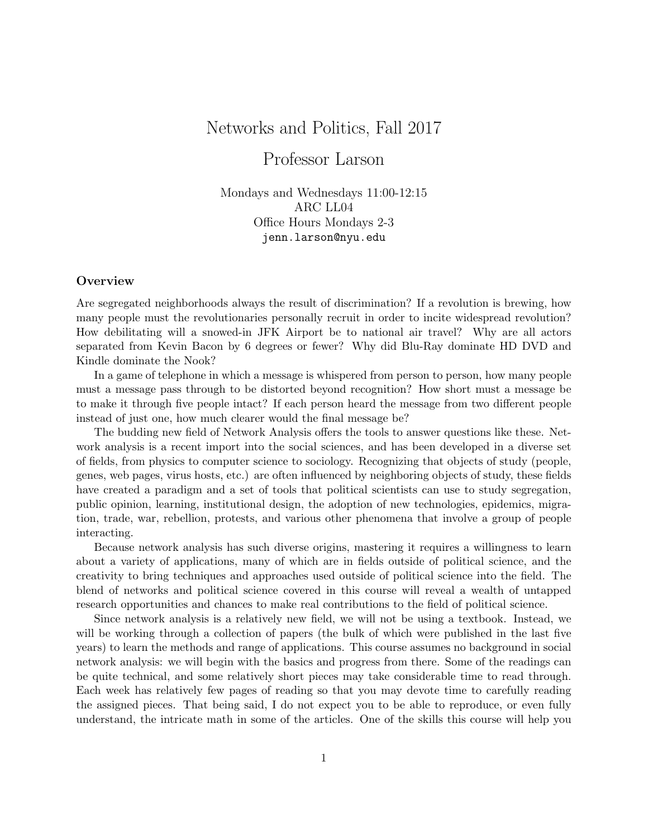# Networks and Politics, Fall 2017

# Professor Larson

Mondays and Wednesdays 11:00-12:15 ARC LL04 Office Hours Mondays 2-3 jenn.larson@nyu.edu

## **Overview**

Are segregated neighborhoods always the result of discrimination? If a revolution is brewing, how many people must the revolutionaries personally recruit in order to incite widespread revolution? How debilitating will a snowed-in JFK Airport be to national air travel? Why are all actors separated from Kevin Bacon by 6 degrees or fewer? Why did Blu-Ray dominate HD DVD and Kindle dominate the Nook?

In a game of telephone in which a message is whispered from person to person, how many people must a message pass through to be distorted beyond recognition? How short must a message be to make it through five people intact? If each person heard the message from two different people instead of just one, how much clearer would the final message be?

The budding new field of Network Analysis offers the tools to answer questions like these. Network analysis is a recent import into the social sciences, and has been developed in a diverse set of fields, from physics to computer science to sociology. Recognizing that objects of study (people, genes, web pages, virus hosts, etc.) are often influenced by neighboring objects of study, these fields have created a paradigm and a set of tools that political scientists can use to study segregation, public opinion, learning, institutional design, the adoption of new technologies, epidemics, migration, trade, war, rebellion, protests, and various other phenomena that involve a group of people interacting.

Because network analysis has such diverse origins, mastering it requires a willingness to learn about a variety of applications, many of which are in fields outside of political science, and the creativity to bring techniques and approaches used outside of political science into the field. The blend of networks and political science covered in this course will reveal a wealth of untapped research opportunities and chances to make real contributions to the field of political science.

Since network analysis is a relatively new field, we will not be using a textbook. Instead, we will be working through a collection of papers (the bulk of which were published in the last five years) to learn the methods and range of applications. This course assumes no background in social network analysis: we will begin with the basics and progress from there. Some of the readings can be quite technical, and some relatively short pieces may take considerable time to read through. Each week has relatively few pages of reading so that you may devote time to carefully reading the assigned pieces. That being said, I do not expect you to be able to reproduce, or even fully understand, the intricate math in some of the articles. One of the skills this course will help you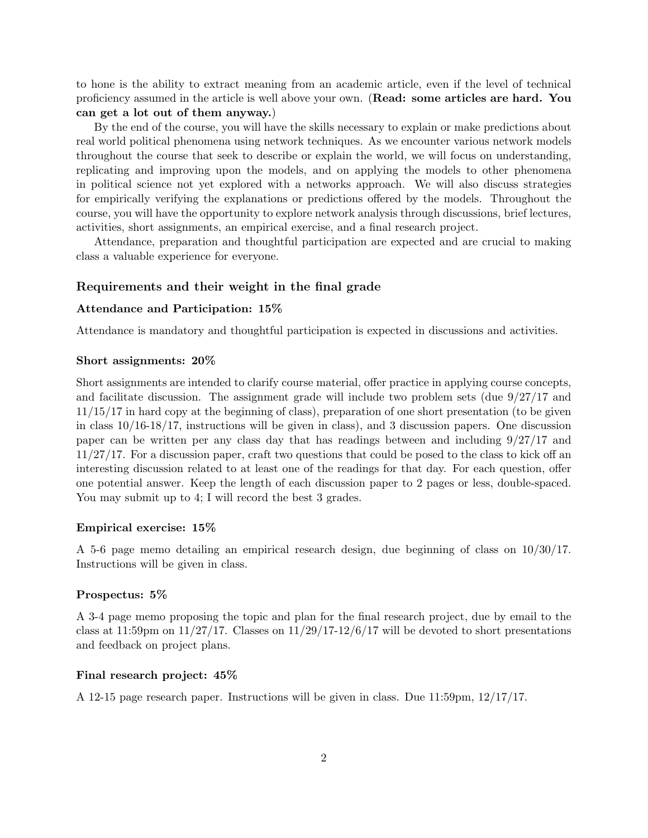to hone is the ability to extract meaning from an academic article, even if the level of technical proficiency assumed in the article is well above your own. (Read: some articles are hard. You can get a lot out of them anyway.)

By the end of the course, you will have the skills necessary to explain or make predictions about real world political phenomena using network techniques. As we encounter various network models throughout the course that seek to describe or explain the world, we will focus on understanding, replicating and improving upon the models, and on applying the models to other phenomena in political science not yet explored with a networks approach. We will also discuss strategies for empirically verifying the explanations or predictions offered by the models. Throughout the course, you will have the opportunity to explore network analysis through discussions, brief lectures, activities, short assignments, an empirical exercise, and a final research project.

Attendance, preparation and thoughtful participation are expected and are crucial to making class a valuable experience for everyone.

#### Requirements and their weight in the final grade

#### Attendance and Participation: 15%

Attendance is mandatory and thoughtful participation is expected in discussions and activities.

#### Short assignments: 20%

Short assignments are intended to clarify course material, offer practice in applying course concepts, and facilitate discussion. The assignment grade will include two problem sets (due 9/27/17 and 11/15/17 in hard copy at the beginning of class), preparation of one short presentation (to be given in class 10/16-18/17, instructions will be given in class), and 3 discussion papers. One discussion paper can be written per any class day that has readings between and including 9/27/17 and 11/27/17. For a discussion paper, craft two questions that could be posed to the class to kick off an interesting discussion related to at least one of the readings for that day. For each question, offer one potential answer. Keep the length of each discussion paper to 2 pages or less, double-spaced. You may submit up to 4; I will record the best 3 grades.

#### Empirical exercise: 15%

A 5-6 page memo detailing an empirical research design, due beginning of class on 10/30/17. Instructions will be given in class.

#### Prospectus: 5%

A 3-4 page memo proposing the topic and plan for the final research project, due by email to the class at 11:59pm on  $11/27/17$ . Classes on  $11/29/17-12/6/17$  will be devoted to short presentations and feedback on project plans.

#### Final research project: 45%

A 12-15 page research paper. Instructions will be given in class. Due 11:59pm, 12/17/17.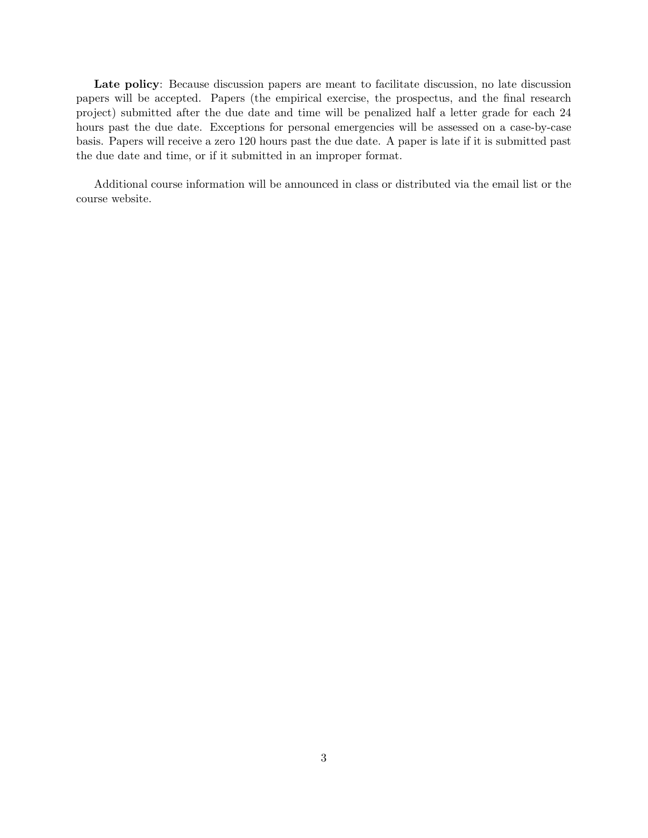Late policy: Because discussion papers are meant to facilitate discussion, no late discussion papers will be accepted. Papers (the empirical exercise, the prospectus, and the final research project) submitted after the due date and time will be penalized half a letter grade for each 24 hours past the due date. Exceptions for personal emergencies will be assessed on a case-by-case basis. Papers will receive a zero 120 hours past the due date. A paper is late if it is submitted past the due date and time, or if it submitted in an improper format.

Additional course information will be announced in class or distributed via the email list or the course website.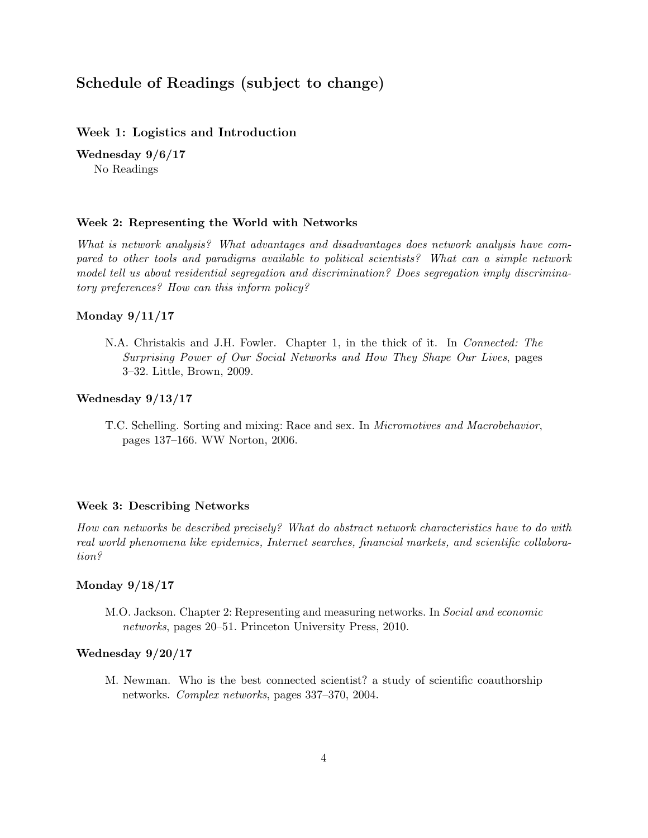# Schedule of Readings (subject to change)

## Week 1: Logistics and Introduction

Wednesday 9/6/17 No Readings

#### Week 2: Representing the World with Networks

What is network analysis? What advantages and disadvantages does network analysis have compared to other tools and paradigms available to political scientists? What can a simple network model tell us about residential segregation and discrimination? Does segregation imply discriminatory preferences? How can this inform policy?

#### Monday 9/11/17

N.A. Christakis and J.H. Fowler. Chapter 1, in the thick of it. In Connected: The Surprising Power of Our Social Networks and How They Shape Our Lives, pages 3–32. Little, Brown, 2009.

#### Wednesday 9/13/17

T.C. Schelling. Sorting and mixing: Race and sex. In Micromotives and Macrobehavior, pages 137–166. WW Norton, 2006.

#### Week 3: Describing Networks

How can networks be described precisely? What do abstract network characteristics have to do with real world phenomena like epidemics, Internet searches, financial markets, and scientific collaboration?

#### Monday 9/18/17

M.O. Jackson. Chapter 2: Representing and measuring networks. In Social and economic networks, pages 20–51. Princeton University Press, 2010.

#### Wednesday 9/20/17

M. Newman. Who is the best connected scientist? a study of scientific coauthorship networks. Complex networks, pages 337–370, 2004.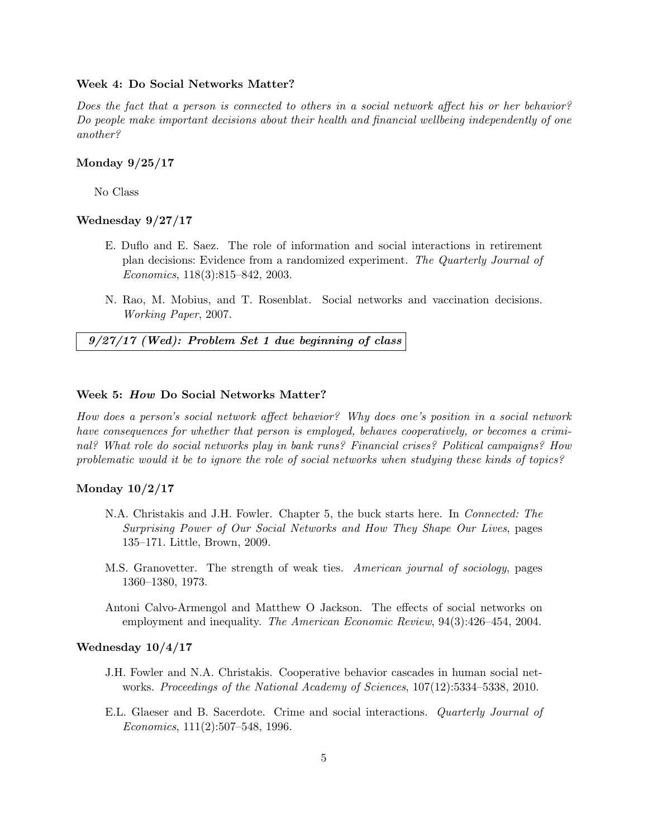#### Week 4: Do Social Networks Matter?

Does the fact that a person is connected to others in a social network affect his or her behavior? Do people make important decisions about their health and financial wellbeing independently of one another?

## Monday 9/25/17

No Class

## Wednesday 9/27/17

- E. Duflo and E. Saez. The role of information and social interactions in retirement plan decisions: Evidence from a randomized experiment. The Quarterly Journal of Economics, 118(3):815–842, 2003.
- N. Rao, M. Mobius, and T. Rosenblat. Social networks and vaccination decisions. Working Paper, 2007.

9/27/17 (Wed): Problem Set 1 due beginning of class

#### Week 5: How Do Social Networks Matter?

How does a person's social network affect behavior? Why does one's position in a social network have consequences for whether that person is employed, behaves cooperatively, or becomes a criminal? What role do social networks play in bank runs? Financial crises? Political campaigns? How problematic would it be to ignore the role of social networks when studying these kinds of topics?

### Monday 10/2/17

- N.A. Christakis and J.H. Fowler. Chapter 5, the buck starts here. In Connected: The Surprising Power of Our Social Networks and How They Shape Our Lives, pages 135–171. Little, Brown, 2009.
- M.S. Granovetter. The strength of weak ties. American journal of sociology, pages 1360–1380, 1973.
- Antoni Calvo-Armengol and Matthew O Jackson. The effects of social networks on employment and inequality. The American Economic Review, 94(3):426–454, 2004.

#### Wednesday 10/4/17

- J.H. Fowler and N.A. Christakis. Cooperative behavior cascades in human social networks. Proceedings of the National Academy of Sciences, 107(12):5334–5338, 2010.
- E.L. Glaeser and B. Sacerdote. Crime and social interactions. Quarterly Journal of Economics, 111(2):507–548, 1996.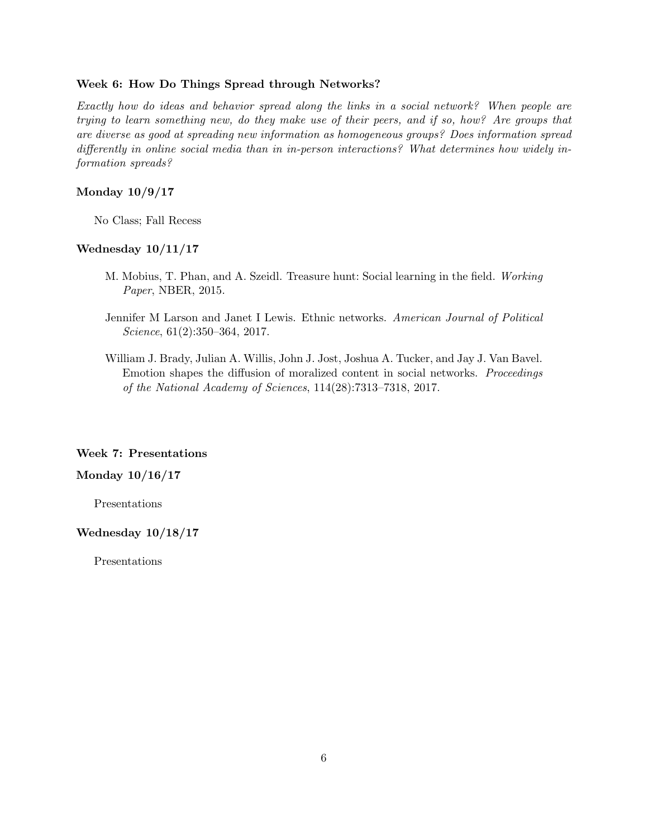#### Week 6: How Do Things Spread through Networks?

Exactly how do ideas and behavior spread along the links in a social network? When people are trying to learn something new, do they make use of their peers, and if so, how? Are groups that are diverse as good at spreading new information as homogeneous groups? Does information spread differently in online social media than in in-person interactions? What determines how widely information spreads?

## Monday 10/9/17

No Class; Fall Recess

#### Wednesday 10/11/17

- M. Mobius, T. Phan, and A. Szeidl. Treasure hunt: Social learning in the field. Working Paper, NBER, 2015.
- Jennifer M Larson and Janet I Lewis. Ethnic networks. American Journal of Political Science, 61(2):350–364, 2017.
- William J. Brady, Julian A. Willis, John J. Jost, Joshua A. Tucker, and Jay J. Van Bavel. Emotion shapes the diffusion of moralized content in social networks. Proceedings of the National Academy of Sciences, 114(28):7313–7318, 2017.

## Week 7: Presentations

## Monday 10/16/17

Presentations

## Wednesday 10/18/17

Presentations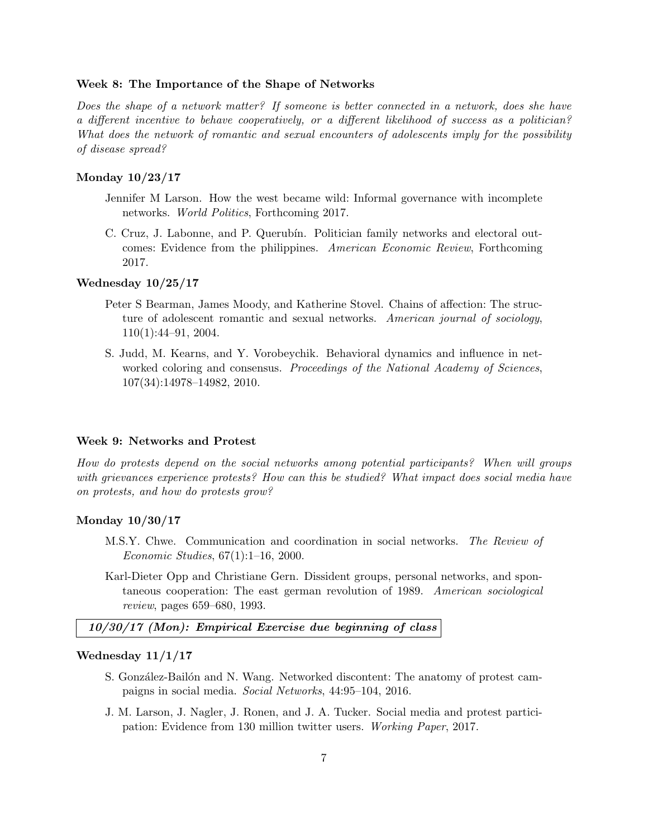#### Week 8: The Importance of the Shape of Networks

Does the shape of a network matter? If someone is better connected in a network, does she have a different incentive to behave cooperatively, or a different likelihood of success as a politician? What does the network of romantic and sexual encounters of adolescents imply for the possibility of disease spread?

## Monday 10/23/17

- Jennifer M Larson. How the west became wild: Informal governance with incomplete networks. World Politics, Forthcoming 2017.
- C. Cruz, J. Labonne, and P. Querubín. Politician family networks and electoral outcomes: Evidence from the philippines. American Economic Review, Forthcoming 2017.

#### Wednesday 10/25/17

- Peter S Bearman, James Moody, and Katherine Stovel. Chains of affection: The structure of adolescent romantic and sexual networks. American journal of sociology, 110(1):44–91, 2004.
- S. Judd, M. Kearns, and Y. Vorobeychik. Behavioral dynamics and influence in networked coloring and consensus. Proceedings of the National Academy of Sciences, 107(34):14978–14982, 2010.

#### Week 9: Networks and Protest

How do protests depend on the social networks among potential participants? When will groups with grievances experience protests? How can this be studied? What impact does social media have on protests, and how do protests grow?

## Monday 10/30/17

- M.S.Y. Chwe. Communication and coordination in social networks. The Review of Economic Studies, 67(1):1–16, 2000.
- Karl-Dieter Opp and Christiane Gern. Dissident groups, personal networks, and spontaneous cooperation: The east german revolution of 1989. American sociological review, pages 659–680, 1993.

## 10/30/17 (Mon): Empirical Exercise due beginning of class

#### Wednesday 11/1/17

- S. González-Bailón and N. Wang. Networked discontent: The anatomy of protest campaigns in social media. Social Networks, 44:95–104, 2016.
- J. M. Larson, J. Nagler, J. Ronen, and J. A. Tucker. Social media and protest participation: Evidence from 130 million twitter users. Working Paper, 2017.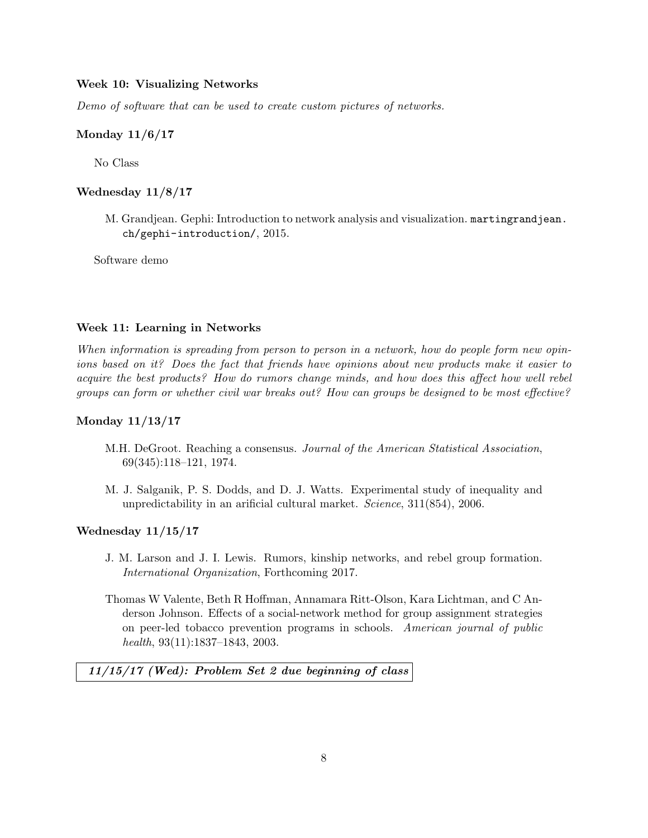## Week 10: Visualizing Networks

Demo of software that can be used to create custom pictures of networks.

## Monday 11/6/17

No Class

## Wednesday 11/8/17

M. Grandjean. Gephi: Introduction to network analysis and visualization. martingrandjean. ch/gephi-introduction/, 2015.

Software demo

#### Week 11: Learning in Networks

When information is spreading from person to person in a network, how do people form new opinions based on it? Does the fact that friends have opinions about new products make it easier to acquire the best products? How do rumors change minds, and how does this affect how well rebel groups can form or whether civil war breaks out? How can groups be designed to be most effective?

#### Monday 11/13/17

- M.H. DeGroot. Reaching a consensus. Journal of the American Statistical Association, 69(345):118–121, 1974.
- M. J. Salganik, P. S. Dodds, and D. J. Watts. Experimental study of inequality and unpredictability in an arificial cultural market. Science, 311(854), 2006.

## Wednesday 11/15/17

- J. M. Larson and J. I. Lewis. Rumors, kinship networks, and rebel group formation. International Organization, Forthcoming 2017.
- Thomas W Valente, Beth R Hoffman, Annamara Ritt-Olson, Kara Lichtman, and C Anderson Johnson. Effects of a social-network method for group assignment strategies on peer-led tobacco prevention programs in schools. American journal of public health, 93(11):1837–1843, 2003.

11/15/17 (Wed): Problem Set 2 due beginning of class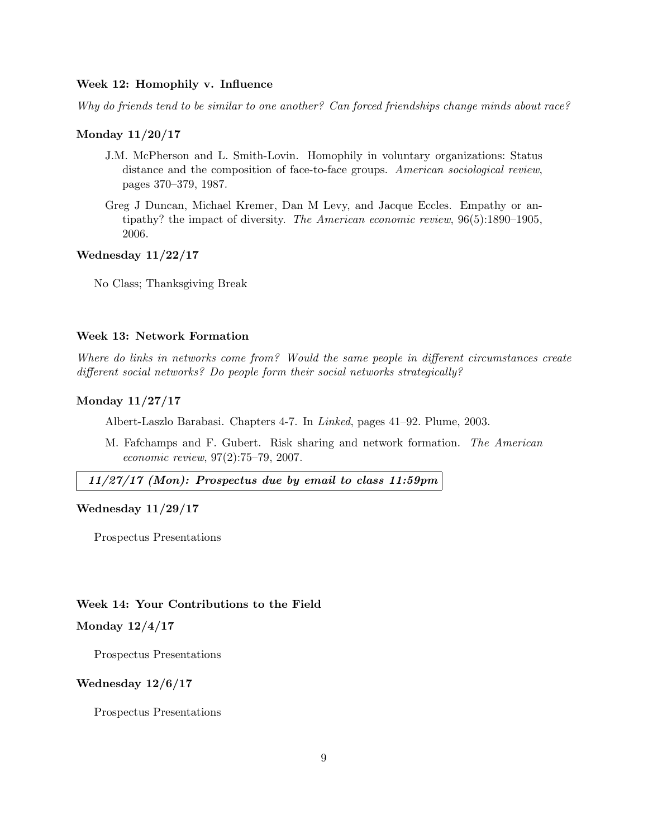## Week 12: Homophily v. Influence

Why do friends tend to be similar to one another? Can forced friendships change minds about race?

## Monday 11/20/17

- J.M. McPherson and L. Smith-Lovin. Homophily in voluntary organizations: Status distance and the composition of face-to-face groups. American sociological review, pages 370–379, 1987.
- Greg J Duncan, Michael Kremer, Dan M Levy, and Jacque Eccles. Empathy or antipathy? the impact of diversity. The American economic review, 96(5):1890–1905, 2006.

## Wednesday 11/22/17

No Class; Thanksgiving Break

## Week 13: Network Formation

Where do links in networks come from? Would the same people in different circumstances create different social networks? Do people form their social networks strategically?

## Monday 11/27/17

Albert-Laszlo Barabasi. Chapters 4-7. In Linked, pages 41–92. Plume, 2003.

M. Fafchamps and F. Gubert. Risk sharing and network formation. The American economic review, 97(2):75–79, 2007.

## 11/27/17 (Mon): Prospectus due by email to class 11:59pm

#### Wednesday 11/29/17

Prospectus Presentations

#### Week 14: Your Contributions to the Field

## Monday 12/4/17

Prospectus Presentations

#### Wednesday 12/6/17

Prospectus Presentations